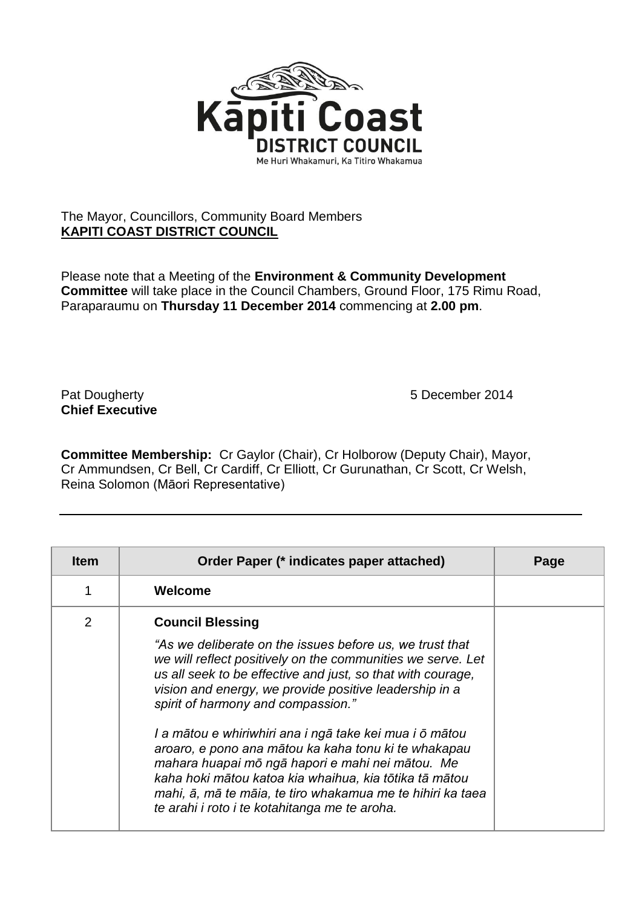

## The Mayor, Councillors, Community Board Members **KAPITI COAST DISTRICT COUNCIL**

Please note that a Meeting of the **Environment & Community Development Committee** will take place in the Council Chambers, Ground Floor, 175 Rimu Road, Paraparaumu on **Thursday 11 December 2014** commencing at **2.00 pm**.

**Chief Executive**

Pat Dougherty **1988** Pat Dougherty **1988 5** December 2014

**Committee Membership:** Cr Gaylor (Chair), Cr Holborow (Deputy Chair), Mayor, Cr Ammundsen, Cr Bell, Cr Cardiff, Cr Elliott, Cr Gurunathan, Cr Scott, Cr Welsh, Reina Solomon (Māori Representative)

| <b>Item</b>    | Order Paper (* indicates paper attached)                                                                                                                                                                                                                                                                                                                                                                                                                                                                                                                                                                                                                          | Page |
|----------------|-------------------------------------------------------------------------------------------------------------------------------------------------------------------------------------------------------------------------------------------------------------------------------------------------------------------------------------------------------------------------------------------------------------------------------------------------------------------------------------------------------------------------------------------------------------------------------------------------------------------------------------------------------------------|------|
|                | Welcome                                                                                                                                                                                                                                                                                                                                                                                                                                                                                                                                                                                                                                                           |      |
| $\overline{2}$ | <b>Council Blessing</b><br>"As we deliberate on the issues before us, we trust that<br>we will reflect positively on the communities we serve. Let<br>us all seek to be effective and just, so that with courage,<br>vision and energy, we provide positive leadership in a<br>spirit of harmony and compassion."<br>I a mātou e whiriwhiri ana i ngā take kei mua i ō mātou<br>aroaro, e pono ana mātou ka kaha tonu ki te whakapau<br>mahara huapai mō ngā hapori e mahi nei mātou. Me<br>kaha hoki mātou katoa kia whaihua, kia tōtika tā mātou<br>mahi, ā, mā te māia, te tiro whakamua me te hihiri ka taea<br>te arahi i roto i te kotahitanga me te aroha. |      |